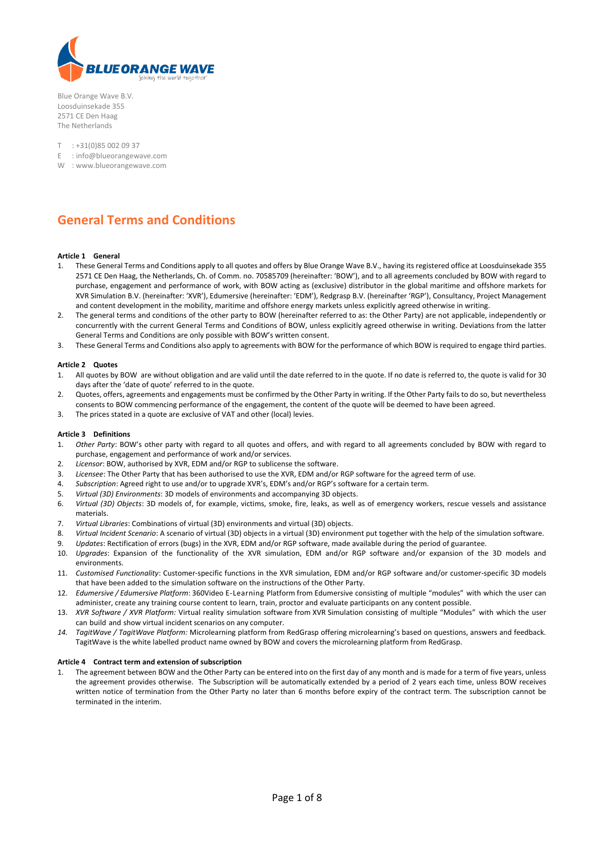

Blue Orange Wave B.V. Loosduinsekade 355 2571 CE Den Haag The Netherlands

T : +31(0)85 002 09 37

- E : info@blueorangewave.com
- W : www.blueorangewave.com

# **General Terms and Conditions**

#### **Article 1 General**

- 1. These General Terms and Conditions apply to all quotes and offers by Blue Orange Wave B.V., having its registered office at Loosduinsekade 355 2571 CE Den Haag, the Netherlands, Ch. of Comm. no. 70585709 (hereinafter: 'BOW'), and to all agreements concluded by BOW with regard to purchase, engagement and performance of work, with BOW acting as (exclusive) distributor in the global maritime and offshore markets for XVR Simulation B.V. (hereinafter: 'XVR'), Edumersive (hereinafter: 'EDM'), Redgrasp B.V. (hereinafter 'RGP'), Consultancy, Project Management and content development in the mobility, maritime and offshore energy markets unless explicitly agreed otherwise in writing.
- 2. The general terms and conditions of the other party to BOW (hereinafter referred to as: the Other Party) are not applicable, independently or concurrently with the current General Terms and Conditions of BOW, unless explicitly agreed otherwise in writing. Deviations from the latter General Terms and Conditions are only possible with BOW's written consent.
- 3. These General Terms and Conditions also apply to agreements with BOW for the performance of which BOW is required to engage third parties.

#### **Article 2 Quotes**

- 1. All quotes by BOW are without obligation and are valid until the date referred to in the quote. If no date is referred to, the quote is valid for 30 days after the 'date of quote' referred to in the quote.
- 2. Quotes, offers, agreements and engagements must be confirmed by the Other Party in writing. If the Other Party fails to do so, but nevertheless consents to BOW commencing performance of the engagement, the content of the quote will be deemed to have been agreed.
- 3. The prices stated in a quote are exclusive of VAT and other (local) levies.

#### **Article 3 Definitions**

- 1. *Other Party*: BOW's other party with regard to all quotes and offers, and with regard to all agreements concluded by BOW with regard to purchase, engagement and performance of work and/or services.
- 2. *Licensor*: BOW, authorised by XVR, EDM and/or RGP to sublicense the software.
- 3. *Licensee*: The Other Party that has been authorised to use the XVR, EDM and/or RGP software for the agreed term of use.
- 4. *Subscription*: Agreed right to use and/or to upgrade XVR's, EDM's and/or RGP's software for a certain term.
- 5. *Virtual (3D) Environments*: 3D models of environments and accompanying 3D objects.
- 6. *Virtual (3D) Objects*: 3D models of, for example, victims, smoke, fire, leaks, as well as of emergency workers, rescue vessels and assistance materials.
- 7. *Virtual Libraries*: Combinations of virtual (3D) environments and virtual (3D) objects.
- 8. *Virtual Incident Scenario*: A scenario of virtual (3D) objects in a virtual (3D) environment put together with the help of the simulation software.
- 9. *Updates*: Rectification of errors (bugs) in the XVR, EDM and/or RGP software, made available during the period of guarantee.
- 10. *Upgrades*: Expansion of the functionality of the XVR simulation, EDM and/or RGP software and/or expansion of the 3D models and environments.
- 11. *Customised Functionality*: Customer-specific functions in the XVR simulation, EDM and/or RGP software and/or customer-specific 3D models that have been added to the simulation software on the instructions of the Other Party.
- 12. *Edumersive / Edumersive Platform*: 360Video E-Learning Platform from Edumersive consisting of multiple "modules" with which the user can administer, create any training course content to learn, train, proctor and evaluate participants on any content possible.
- 13. *XVR Software / XVR Platform:* Virtual reality simulation software from XVR Simulation consisting of multiple "Modules" with which the user can build and show virtual incident scenarios on any computer.
- *14. TagitWave / TagitWave Platform:* Microlearning platform from RedGrasp offering microlearning's based on questions, answers and feedback. TagitWave is the white labelled product name owned by BOW and covers the microlearning platform from RedGrasp.

#### **Article 4 Contract term and extension of subscription**

1. The agreement between BOW and the Other Party can be entered into on the first day of any month and is made for a term of five years, unless the agreement provides otherwise. The Subscription will be automatically extended by a period of 2 years each time, unless BOW receives written notice of termination from the Other Party no later than 6 months before expiry of the contract term. The subscription cannot be terminated in the interim.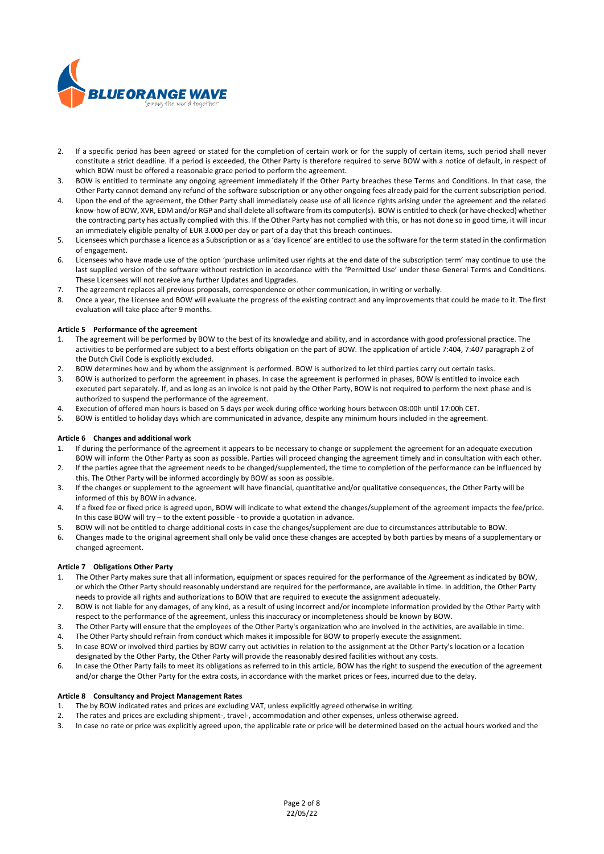

- 2. If a specific period has been agreed or stated for the completion of certain work or for the supply of certain items, such period shall never constitute a strict deadline. If a period is exceeded, the Other Party is therefore required to serve BOW with a notice of default, in respect of which BOW must be offered a reasonable grace period to perform the agreement.
- 3. BOW is entitled to terminate any ongoing agreement immediately if the Other Party breaches these Terms and Conditions. In that case, the Other Party cannot demand any refund of the software subscription or any other ongoing fees already paid for the current subscription period.
- 4. Upon the end of the agreement, the Other Party shall immediately cease use of all licence rights arising under the agreement and the related know-how of BOW, XVR, EDM and/or RGP and shall delete all software from its computer(s). BOW is entitled to check (or have checked) whether the contracting party has actually complied with this. If the Other Party has not complied with this, or has not done so in good time, it will incur an immediately eligible penalty of EUR 3.000 per day or part of a day that this breach continues.
- 5. Licensees which purchase a licence as a Subscription or as a 'day licence' are entitled to use the software for the term stated in the confirmation of engagement.
- 6. Licensees who have made use of the option 'purchase unlimited user rights at the end date of the subscription term' may continue to use the last supplied version of the software without restriction in accordance with the 'Permitted Use' under these General Terms and Conditions. These Licensees will not receive any further Updates and Upgrades.
- 7. The agreement replaces all previous proposals, correspondence or other communication, in writing or verbally.
- 8. Once a year, the Licensee and BOW will evaluate the progress of the existing contract and any improvements that could be made to it. The first evaluation will take place after 9 months.

# **Article 5 Performance of the agreement**

- 1. The agreement will be performed by BOW to the best of its knowledge and ability, and in accordance with good professional practice. The activities to be performed are subject to a best efforts obligation on the part of BOW. The application of article 7:404, 7:407 paragraph 2 of the Dutch Civil Code is explicitly excluded.
- 2. BOW determines how and by whom the assignment is performed. BOW is authorized to let third parties carry out certain tasks.
- 3. BOW is authorized to perform the agreement in phases. In case the agreement is performed in phases, BOW is entitled to invoice each executed part separately. If, and as long as an invoice is not paid by the Other Party, BOW is not required to perform the next phase and is authorized to suspend the performance of the agreement.
- 4. Execution of offered man hours is based on 5 days per week during office working hours between 08:00h until 17:00h CET.
- 5. BOW is entitled to holiday days which are communicated in advance, despite any minimum hours included in the agreement.

# **Article 6 Changes and additional work**

- 1. If during the performance of the agreement it appears to be necessary to change or supplement the agreement for an adequate execution BOW will inform the Other Party as soon as possible. Parties will proceed changing the agreement timely and in consultation with each other.
- 2. If the parties agree that the agreement needs to be changed/supplemented, the time to completion of the performance can be influenced by this. The Other Party will be informed accordingly by BOW as soon as possible.
- 3. If the changes or supplement to the agreement will have financial, quantitative and/or qualitative consequences, the Other Party will be informed of this by BOW in advance.
- 4. If a fixed fee or fixed price is agreed upon, BOW will indicate to what extend the changes/supplement of the agreement impacts the fee/price. In this case BOW will try – to the extent possible - to provide a quotation in advance.
- 5. BOW will not be entitled to charge additional costs in case the changes/supplement are due to circumstances attributable to BOW.
- 6. Changes made to the original agreement shall only be valid once these changes are accepted by both parties by means of a supplementary or changed agreement.

# **Article 7 Obligations Other Party**

- 1. The Other Party makes sure that all information, equipment or spaces required for the performance of the Agreement as indicated by BOW, or which the Other Party should reasonably understand are required for the performance, are available in time. In addition, the Other Party needs to provide all rights and authorizations to BOW that are required to execute the assignment adequately.
- 2. BOW is not liable for any damages, of any kind, as a result of using incorrect and/or incomplete information provided by the Other Party with respect to the performance of the agreement, unless this inaccuracy or incompleteness should be known by BOW.
- 3. The Other Party will ensure that the employees of the Other Party's organization who are involved in the activities, are available in time.
- 4. The Other Party should refrain from conduct which makes it impossible for BOW to properly execute the assignment. 5. In case BOW or involved third parties by BOW carry out activities in relation to the assignment at the Other Party's location or a location
- designated by the Other Party, the Other Party will provide the reasonably desired facilities without any costs.
- 6. In case the Other Party fails to meet its obligations as referred to in this article, BOW has the right to suspend the execution of the agreement and/or charge the Other Party for the extra costs, in accordance with the market prices or fees, incurred due to the delay.

# **Article 8 Consultancy and Project Management Rates**

- 1. The by BOW indicated rates and prices are excluding VAT, unless explicitly agreed otherwise in writing.
- 2. The rates and prices are excluding shipment-, travel-, accommodation and other expenses, unless otherwise agreed.
- 3. In case no rate or price was explicitly agreed upon, the applicable rate or price will be determined based on the actual hours worked and the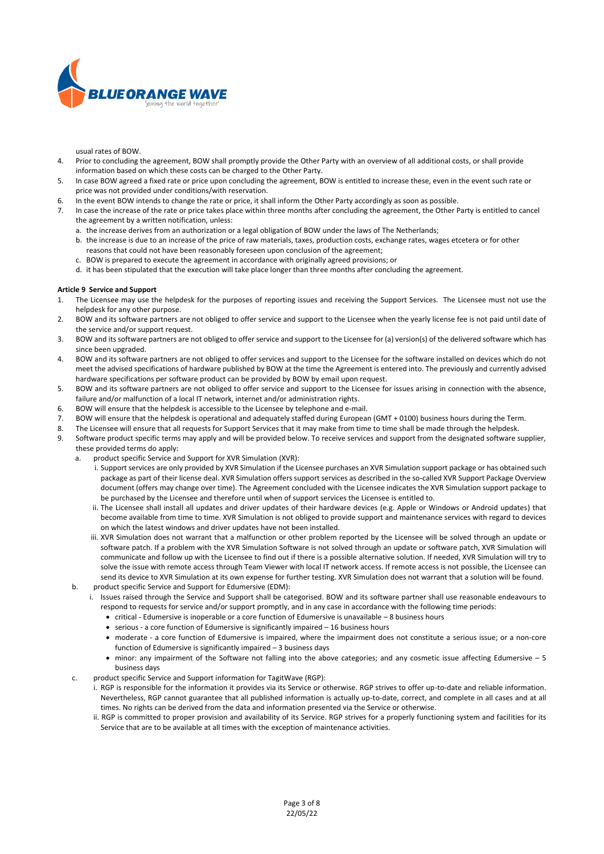

usual rates of BOW.

- 4. Prior to concluding the agreement, BOW shall promptly provide the Other Party with an overview of all additional costs, or shall provide information based on which these costs can be charged to the Other Party.
- 5. In case BOW agreed a fixed rate or price upon concluding the agreement, BOW is entitled to increase these, even in the event such rate or price was not provided under conditions/with reservation.
- 6. In the event BOW intends to change the rate or price, it shall inform the Other Party accordingly as soon as possible.
- 7. In case the increase of the rate or price takes place within three months after concluding the agreement, the Other Party is entitled to cancel the agreement by a written notification, unless:
	- a. the increase derives from an authorization or a legal obligation of BOW under the laws of The Netherlands;
	- b. the increase is due to an increase of the price of raw materials, taxes, production costs, exchange rates, wages etcetera or for other reasons that could not have been reasonably foreseen upon conclusion of the agreement;
	- c. BOW is prepared to execute the agreement in accordance with originally agreed provisions; or
	- d. it has been stipulated that the execution will take place longer than three months after concluding the agreement.

#### **Article 9 Service and Support**

- 1. The Licensee may use the helpdesk for the purposes of reporting issues and receiving the Support Services. The Licensee must not use the helpdesk for any other purpose.
- 2. BOW and its software partners are not obliged to offer service and support to the Licensee when the yearly license fee is not paid until date of the service and/or support request.
- 3. BOW and its software partners are not obliged to offer service and support to the Licensee for (a) version(s) of the delivered software which has since been upgraded.
- 4. BOW and its software partners are not obliged to offer services and support to the Licensee for the software installed on devices which do not meet the advised specifications of hardware published by BOW at the time the Agreement is entered into. The previously and currently advised hardware specifications per software product can be provided by BOW by email upon request.
- 5. BOW and its software partners are not obliged to offer service and support to the Licensee for issues arising in connection with the absence, failure and/or malfunction of a local IT network, internet and/or administration rights.
- 6. BOW will ensure that the helpdesk is accessible to the Licensee by telephone and e-mail.
- 7. BOW will ensure that the helpdesk is operational and adequately staffed during European (GMT + 0100) business hours during the Term.
- 8. The Licensee will ensure that all requests for Support Services that it may make from time to time shall be made through the helpdesk.
- Software product specific terms may apply and will be provided below. To receive services and support from the designated software supplier, these provided terms do apply:
	- a. product specific Service and Support for XVR Simulation (XVR):
		- i. Support services are only provided by XVR Simulation if the Licensee purchases an XVR Simulation support package or has obtained such package as part of their license deal. XVR Simulation offers support services as described in the so-called XVR Support Package Overview document (offers may change over time). The Agreement concluded with the Licensee indicates the XVR Simulation support package to be purchased by the Licensee and therefore until when of support services the Licensee is entitled to.
		- ii. The Licensee shall install all updates and driver updates of their hardware devices (e.g. Apple or Windows or Android updates) that become available from time to time. XVR Simulation is not obliged to provide support and maintenance services with regard to devices on which the latest windows and driver updates have not been installed.
	- iii. XVR Simulation does not warrant that a malfunction or other problem reported by the Licensee will be solved through an update or software patch. If a problem with the XVR Simulation Software is not solved through an update or software patch, XVR Simulation will communicate and follow up with the Licensee to find out if there is a possible alternative solution. If needed, XVR Simulation will try to solve the issue with remote access through Team Viewer with local IT network access. If remote access is not possible, the Licensee can send its device to XVR Simulation at its own expense for further testing. XVR Simulation does not warrant that a solution will be found. b. product specific Service and Support for Edumersive (EDM):
	- i. Issues raised through the Service and Support shall be categorised. BOW and its software partner shall use reasonable endeavours to respond to requests for service and/or support promptly, and in any case in accordance with the following time periods:
		- critical Edumersive is inoperable or a core function of Edumersive is unavailable 8 business hours
		- serious a core function of Edumersive is significantly impaired 16 business hours
		- moderate a core function of Edumersive is impaired, where the impairment does not constitute a serious issue; or a non-core function of Edumersive is significantly impaired – 3 business days
		- minor: any impairment of the Software not falling into the above categories; and any cosmetic issue affecting Edumersive 5 business days
	- c. product specific Service and Support information for TagitWave (RGP):
		- i. RGP is responsible for the information it provides via its Service or otherwise. RGP strives to offer up-to-date and reliable information. Nevertheless, RGP cannot guarantee that all published information is actually up-to-date, correct, and complete in all cases and at all times. No rights can be derived from the data and information presented via the Service or otherwise.
		- ii. RGP is committed to proper provision and availability of its Service. RGP strives for a properly functioning system and facilities for its Service that are to be available at all times with the exception of maintenance activities.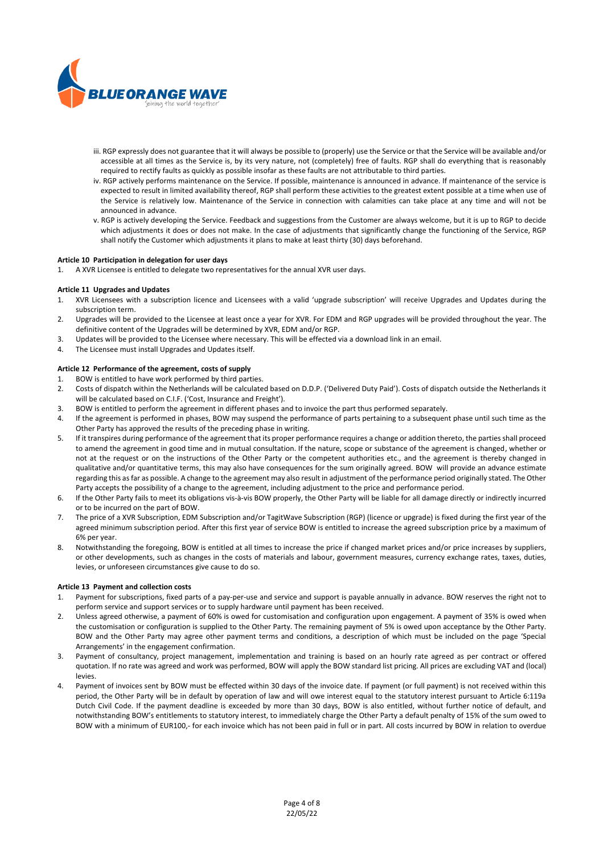

- iii. RGP expressly does not guarantee that it will always be possible to (properly) use the Service or that the Service will be available and/or accessible at all times as the Service is, by its very nature, not (completely) free of faults. RGP shall do everything that is reasonably required to rectify faults as quickly as possible insofar as these faults are not attributable to third parties.
- iv. RGP actively performs maintenance on the Service. If possible, maintenance is announced in advance. If maintenance of the service is expected to result in limited availability thereof, RGP shall perform these activities to the greatest extent possible at a time when use of the Service is relatively low. Maintenance of the Service in connection with calamities can take place at any time and will not be announced in advance.
- v. RGP is actively developing the Service. Feedback and suggestions from the Customer are always welcome, but it is up to RGP to decide which adjustments it does or does not make. In the case of adjustments that significantly change the functioning of the Service, RGP shall notify the Customer which adjustments it plans to make at least thirty (30) days beforehand.

# **Article 10 Participation in delegation for user days**

1. A XVR Licensee is entitled to delegate two representatives for the annual XVR user days.

#### **Article 11 Upgrades and Updates**

- 1. XVR Licensees with a subscription licence and Licensees with a valid 'upgrade subscription' will receive Upgrades and Updates during the subscription term.
- 2. Upgrades will be provided to the Licensee at least once a year for XVR. For EDM and RGP upgrades will be provided throughout the year. The definitive content of the Upgrades will be determined by XVR, EDM and/or RGP.
- 3. Updates will be provided to the Licensee where necessary. This will be effected via a download link in an email.
- 4. The Licensee must install Upgrades and Updates itself.

#### **Article 12 Performance of the agreement, costs of supply**

- 1. BOW is entitled to have work performed by third parties.
- 2. Costs of dispatch within the Netherlands will be calculated based on D.D.P. ('Delivered Duty Paid'). Costs of dispatch outside the Netherlands it will be calculated based on C.I.F. ('Cost, Insurance and Freight').
- 3. BOW is entitled to perform the agreement in different phases and to invoice the part thus performed separately.
- 4. If the agreement is performed in phases, BOW may suspend the performance of parts pertaining to a subsequent phase until such time as the Other Party has approved the results of the preceding phase in writing.
- 5. If it transpires during performance of the agreement that its proper performance requires a change or addition thereto, the parties shall proceed to amend the agreement in good time and in mutual consultation. If the nature, scope or substance of the agreement is changed, whether or not at the request or on the instructions of the Other Party or the competent authorities etc., and the agreement is thereby changed in qualitative and/or quantitative terms, this may also have consequences for the sum originally agreed. BOW will provide an advance estimate regarding this as far as possible. A change to the agreement may also result in adjustment of the performance period originally stated. The Other Party accepts the possibility of a change to the agreement, including adjustment to the price and performance period.
- 6. If the Other Party fails to meet its obligations vis-à-vis BOW properly, the Other Party will be liable for all damage directly or indirectly incurred or to be incurred on the part of BOW.
- 7. The price of a XVR Subscription, EDM Subscription and/or TagitWave Subscription (RGP) (licence or upgrade) is fixed during the first year of the agreed minimum subscription period. After this first year of service BOW is entitled to increase the agreed subscription price by a maximum of 6% per year.
- 8. Notwithstanding the foregoing, BOW is entitled at all times to increase the price if changed market prices and/or price increases by suppliers, or other developments, such as changes in the costs of materials and labour, government measures, currency exchange rates, taxes, duties, levies, or unforeseen circumstances give cause to do so.

# **Article 13 Payment and collection costs**

- 1. Payment for subscriptions, fixed parts of a pay-per-use and service and support is payable annually in advance. BOW reserves the right not to perform service and support services or to supply hardware until payment has been received.
- 2. Unless agreed otherwise, a payment of 60% is owed for customisation and configuration upon engagement. A payment of 35% is owed when the customisation or configuration is supplied to the Other Party. The remaining payment of 5% is owed upon acceptance by the Other Party. BOW and the Other Party may agree other payment terms and conditions, a description of which must be included on the page 'Special Arrangements' in the engagement confirmation.
- 3. Payment of consultancy, project management, implementation and training is based on an hourly rate agreed as per contract or offered quotation. If no rate was agreed and work was performed, BOW will apply the BOW standard list pricing. All prices are excluding VAT and (local) levies.
- 4. Payment of invoices sent by BOW must be effected within 30 days of the invoice date. If payment (or full payment) is not received within this period, the Other Party will be in default by operation of law and will owe interest equal to the statutory interest pursuant to Article 6:119a Dutch Civil Code. If the payment deadline is exceeded by more than 30 days, BOW is also entitled, without further notice of default, and notwithstanding BOW's entitlements to statutory interest, to immediately charge the Other Party a default penalty of 15% of the sum owed to BOW with a minimum of EUR100,- for each invoice which has not been paid in full or in part. All costs incurred by BOW in relation to overdue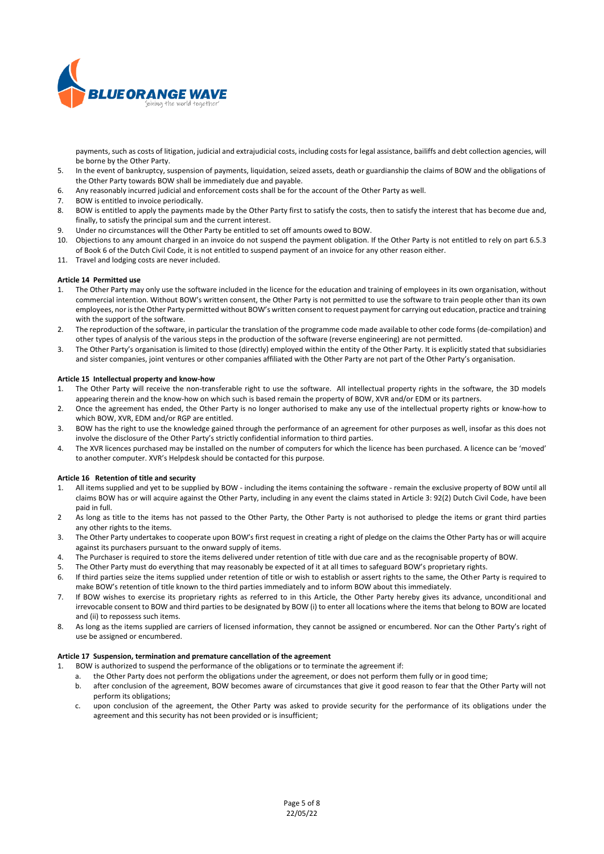

payments, such as costs of litigation, judicial and extrajudicial costs, including costs for legal assistance, bailiffs and debt collection agencies, will be borne by the Other Party.

- 5. In the event of bankruptcy, suspension of payments, liquidation, seized assets, death or guardianship the claims of BOW and the obligations of the Other Party towards BOW shall be immediately due and payable.
- 6. Any reasonably incurred judicial and enforcement costs shall be for the account of the Other Party as well.
- 7. BOW is entitled to invoice periodically.
- 8. BOW is entitled to apply the payments made by the Other Party first to satisfy the costs, then to satisfy the interest that has become due and, finally, to satisfy the principal sum and the current interest.
- 9. Under no circumstances will the Other Party be entitled to set off amounts owed to BOW.
- 10. Objections to any amount charged in an invoice do not suspend the payment obligation. If the Other Party is not entitled to rely on part 6.5.3 of Book 6 of the Dutch Civil Code, it is not entitled to suspend payment of an invoice for any other reason either.
- 11. Travel and lodging costs are never included.

#### **Article 14 Permitted use**

- 1. The Other Party may only use the software included in the licence for the education and training of employees in its own organisation, without commercial intention. Without BOW's written consent, the Other Party is not permitted to use the software to train people other than its own employees, nor is the Other Party permitted without BOW's written consent to request payment for carrying out education, practice and training with the support of the software.
- 2. The reproduction of the software, in particular the translation of the programme code made available to other code forms (de-compilation) and other types of analysis of the various steps in the production of the software (reverse engineering) are not permitted.
- 3. The Other Party's organisation is limited to those (directly) employed within the entity of the Other Party. It is explicitly stated that subsidiaries and sister companies, joint ventures or other companies affiliated with the Other Party are not part of the Other Party's organisation.

#### **Article 15 Intellectual property and know-how**

- 1. The Other Party will receive the non-transferable right to use the software. All intellectual property rights in the software, the 3D models appearing therein and the know-how on which such is based remain the property of BOW, XVR and/or EDM or its partners.
- 2. Once the agreement has ended, the Other Party is no longer authorised to make any use of the intellectual property rights or know-how to which BOW, XVR, EDM and/or RGP are entitled.
- 3. BOW has the right to use the knowledge gained through the performance of an agreement for other purposes as well, insofar as this does not involve the disclosure of the Other Party's strictly confidential information to third parties.
- 4. The XVR licences purchased may be installed on the number of computers for which the licence has been purchased. A licence can be 'moved' to another computer. XVR's Helpdesk should be contacted for this purpose.

#### **Article 16 Retention of title and security**

- 1. All items supplied and yet to be supplied by BOW including the items containing the software remain the exclusive property of BOW until all claims BOW has or will acquire against the Other Party, including in any event the claims stated in Article 3: 92(2) Dutch Civil Code, have been paid in full.
- 2 As long as title to the items has not passed to the Other Party, the Other Party is not authorised to pledge the items or grant third parties any other rights to the items.
- 3. The Other Party undertakes to cooperate upon BOW's first request in creating a right of pledge on the claims the Other Party has or will acquire against its purchasers pursuant to the onward supply of items.
- 4. The Purchaser is required to store the items delivered under retention of title with due care and as the recognisable property of BOW.
- 5. The Other Party must do everything that may reasonably be expected of it at all times to safeguard BOW's proprietary rights.
- 6. If third parties seize the items supplied under retention of title or wish to establish or assert rights to the same, the Other Party is required to make BOW's retention of title known to the third parties immediately and to inform BOW about this immediately.
- 7. If BOW wishes to exercise its proprietary rights as referred to in this Article, the Other Party hereby gives its advance, unconditional and irrevocable consent to BOW and third parties to be designated by BOW (i) to enter all locations where the items that belong to BOW are located and (ii) to repossess such items.
- 8. As long as the items supplied are carriers of licensed information, they cannot be assigned or encumbered. Nor can the Other Party's right of use be assigned or encumbered.

#### **Article 17 Suspension, termination and premature cancellation of the agreement**

- 1. BOW is authorized to suspend the performance of the obligations or to terminate the agreement if:
	- a. the Other Party does not perform the obligations under the agreement, or does not perform them fully or in good time;
	- b. after conclusion of the agreement, BOW becomes aware of circumstances that give it good reason to fear that the Other Party will not perform its obligations;
	- c. upon conclusion of the agreement, the Other Party was asked to provide security for the performance of its obligations under the agreement and this security has not been provided or is insufficient;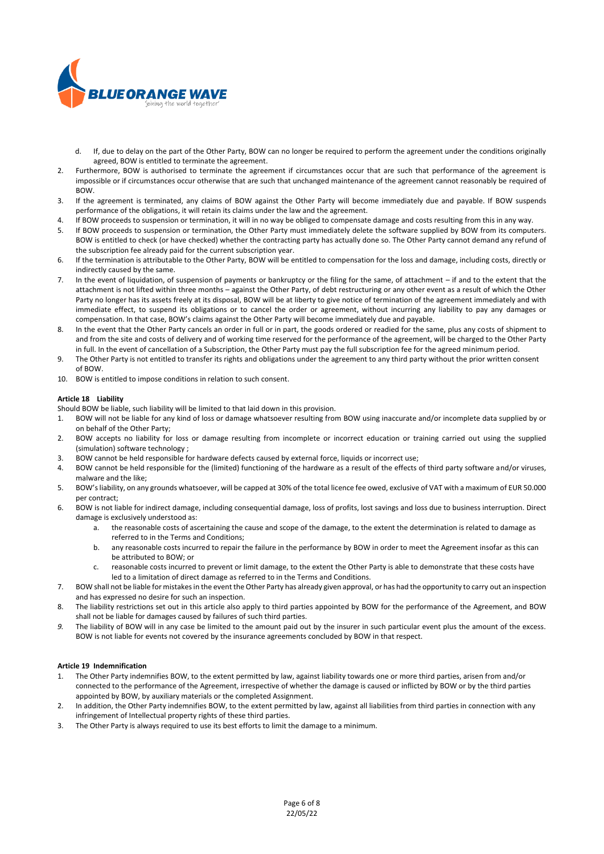

- d. If, due to delay on the part of the Other Party, BOW can no longer be required to perform the agreement under the conditions originally agreed, BOW is entitled to terminate the agreement.
- 2. Furthermore, BOW is authorised to terminate the agreement if circumstances occur that are such that performance of the agreement is impossible or if circumstances occur otherwise that are such that unchanged maintenance of the agreement cannot reasonably be required of BOW.
- 3. If the agreement is terminated, any claims of BOW against the Other Party will become immediately due and payable. If BOW suspends performance of the obligations, it will retain its claims under the law and the agreement.
- 4. If BOW proceeds to suspension or termination, it will in no way be obliged to compensate damage and costs resulting from this in any way.
- 5. If BOW proceeds to suspension or termination, the Other Party must immediately delete the software supplied by BOW from its computers. BOW is entitled to check (or have checked) whether the contracting party has actually done so. The Other Party cannot demand any refund of the subscription fee already paid for the current subscription year.
- 6. If the termination is attributable to the Other Party, BOW will be entitled to compensation for the loss and damage, including costs, directly or indirectly caused by the same.
- 7. In the event of liquidation, of suspension of payments or bankruptcy or the filing for the same, of attachment if and to the extent that the attachment is not lifted within three months – against the Other Party, of debt restructuring or any other event as a result of which the Other Party no longer has its assets freely at its disposal, BOW will be at liberty to give notice of termination of the agreement immediately and with immediate effect, to suspend its obligations or to cancel the order or agreement, without incurring any liability to pay any damages or compensation. In that case, BOW's claims against the Other Party will become immediately due and payable.
- 8. In the event that the Other Party cancels an order in full or in part, the goods ordered or readied for the same, plus any costs of shipment to and from the site and costs of delivery and of working time reserved for the performance of the agreement, will be charged to the Other Party in full. In the event of cancellation of a Subscription, the Other Party must pay the full subscription fee for the agreed minimum period.
- 9. The Other Party is not entitled to transfer its rights and obligations under the agreement to any third party without the prior written consent of BOW.
- 10. BOW is entitled to impose conditions in relation to such consent.

# **Article 18 Liability**

Should BOW be liable, such liability will be limited to that laid down in this provision.

- 1. BOW will not be liable for any kind of loss or damage whatsoever resulting from BOW using inaccurate and/or incomplete data supplied by or on behalf of the Other Party;
- 2. BOW accepts no liability for loss or damage resulting from incomplete or incorrect education or training carried out using the supplied (simulation) software technology ;
- 3. BOW cannot be held responsible for hardware defects caused by external force, liquids or incorrect use;
- 4. BOW cannot be held responsible for the (limited) functioning of the hardware as a result of the effects of third party software and/or viruses, malware and the like;
- 5. BOW's liability, on any grounds whatsoever, will be capped at 30% of the total licence fee owed, exclusive of VAT with a maximum of EUR 50.000 per contract;
- 6. BOW is not liable for indirect damage, including consequential damage, loss of profits, lost savings and loss due to business interruption. Direct damage is exclusively understood as:
	- a. the reasonable costs of ascertaining the cause and scope of the damage, to the extent the determination is related to damage as referred to in the Terms and Conditions;
	- b. any reasonable costs incurred to repair the failure in the performance by BOW in order to meet the Agreement insofar as this can be attributed to BOW; or
	- c. reasonable costs incurred to prevent or limit damage, to the extent the Other Party is able to demonstrate that these costs have led to a limitation of direct damage as referred to in the Terms and Conditions.
- 7. BOW shall not be liable for mistakes in the event the Other Party has already given approval, or has had the opportunity to carry out an inspection and has expressed no desire for such an inspection.
- 8. The liability restrictions set out in this article also apply to third parties appointed by BOW for the performance of the Agreement, and BOW shall not be liable for damages caused by failures of such third parties.
- *9.* The liability of BOW will in any case be limited to the amount paid out by the insurer in such particular event plus the amount of the excess. BOW is not liable for events not covered by the insurance agreements concluded by BOW in that respect.

# **Article 19 Indemnification**

- 1. The Other Party indemnifies BOW, to the extent permitted by law, against liability towards one or more third parties, arisen from and/or connected to the performance of the Agreement, irrespective of whether the damage is caused or inflicted by BOW or by the third parties appointed by BOW, by auxiliary materials or the completed Assignment.
- 2. In addition, the Other Party indemnifies BOW, to the extent permitted by law, against all liabilities from third parties in connection with any infringement of Intellectual property rights of these third parties.
- 3. The Other Party is always required to use its best efforts to limit the damage to a minimum.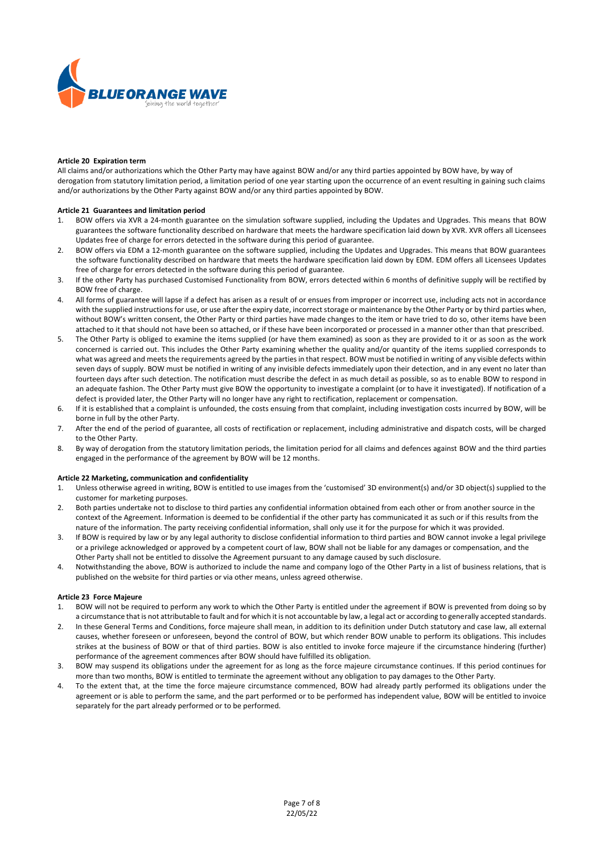

#### **Article 20 Expiration term**

All claims and/or authorizations which the Other Party may have against BOW and/or any third parties appointed by BOW have, by way of derogation from statutory limitation period, a limitation period of one year starting upon the occurrence of an event resulting in gaining such claims and/or authorizations by the Other Party against BOW and/or any third parties appointed by BOW.

### **Article 21 Guarantees and limitation period**

- 1. BOW offers via XVR a 24-month guarantee on the simulation software supplied, including the Updates and Upgrades. This means that BOW guarantees the software functionality described on hardware that meets the hardware specification laid down by XVR. XVR offers all Licensees Updates free of charge for errors detected in the software during this period of guarantee.
- 2. BOW offers via EDM a 12-month guarantee on the software supplied, including the Updates and Upgrades. This means that BOW guarantees the software functionality described on hardware that meets the hardware specification laid down by EDM. EDM offers all Licensees Updates free of charge for errors detected in the software during this period of guarantee.
- 3. If the other Party has purchased Customised Functionality from BOW, errors detected within 6 months of definitive supply will be rectified by BOW free of charge.
- 4. All forms of guarantee will lapse if a defect has arisen as a result of or ensues from improper or incorrect use, including acts not in accordance with the supplied instructions for use, or use after the expiry date, incorrect storage or maintenance by the Other Party or by third parties when, without BOW's written consent, the Other Party or third parties have made changes to the item or have tried to do so, other items have been attached to it that should not have been so attached, or if these have been incorporated or processed in a manner other than that prescribed.
- 5. The Other Party is obliged to examine the items supplied (or have them examined) as soon as they are provided to it or as soon as the work concerned is carried out. This includes the Other Party examining whether the quality and/or quantity of the items supplied corresponds to what was agreed and meets the requirements agreed by the parties in that respect. BOW must be notified in writing of any visible defects within seven days of supply. BOW must be notified in writing of any invisible defects immediately upon their detection, and in any event no later than fourteen days after such detection. The notification must describe the defect in as much detail as possible, so as to enable BOW to respond in an adequate fashion. The Other Party must give BOW the opportunity to investigate a complaint (or to have it investigated). If notification of a defect is provided later, the Other Party will no longer have any right to rectification, replacement or compensation.
- 6. If it is established that a complaint is unfounded, the costs ensuing from that complaint, including investigation costs incurred by BOW, will be borne in full by the other Party.
- 7. After the end of the period of guarantee, all costs of rectification or replacement, including administrative and dispatch costs, will be charged to the Other Party.
- 8. By way of derogation from the statutory limitation periods, the limitation period for all claims and defences against BOW and the third parties engaged in the performance of the agreement by BOW will be 12 months.

# **Article 22 Marketing, communication and confidentiality**

- 1. Unless otherwise agreed in writing, BOW is entitled to use images from the 'customised' 3D environment(s) and/or 3D object(s) supplied to the customer for marketing purposes.
- 2. Both parties undertake not to disclose to third parties any confidential information obtained from each other or from another source in the context of the Agreement. Information is deemed to be confidential if the other party has communicated it as such or if this results from the nature of the information. The party receiving confidential information, shall only use it for the purpose for which it was provided.
- 3. If BOW is required by law or by any legal authority to disclose confidential information to third parties and BOW cannot invoke a legal privilege or a privilege acknowledged or approved by a competent court of law, BOW shall not be liable for any damages or compensation, and the Other Party shall not be entitled to dissolve the Agreement pursuant to any damage caused by such disclosure.
- 4. Notwithstanding the above, BOW is authorized to include the name and company logo of the Other Party in a list of business relations, that is published on the website for third parties or via other means, unless agreed otherwise.

# **Article 23 Force Majeure**

- 1. BOW will not be required to perform any work to which the Other Party is entitled under the agreement if BOW is prevented from doing so by a circumstance that is not attributable to fault and for which it is not accountable by law, a legal act or according to generally accepted standards.
- 2. In these General Terms and Conditions, force majeure shall mean, in addition to its definition under Dutch statutory and case law, all external causes, whether foreseen or unforeseen, beyond the control of BOW, but which render BOW unable to perform its obligations. This includes strikes at the business of BOW or that of third parties. BOW is also entitled to invoke force majeure if the circumstance hindering (further) performance of the agreement commences after BOW should have fulfilled its obligation.
- 3. BOW may suspend its obligations under the agreement for as long as the force majeure circumstance continues. If this period continues for more than two months, BOW is entitled to terminate the agreement without any obligation to pay damages to the Other Party.
- 4. To the extent that, at the time the force majeure circumstance commenced, BOW had already partly performed its obligations under the agreement or is able to perform the same, and the part performed or to be performed has independent value, BOW will be entitled to invoice separately for the part already performed or to be performed.